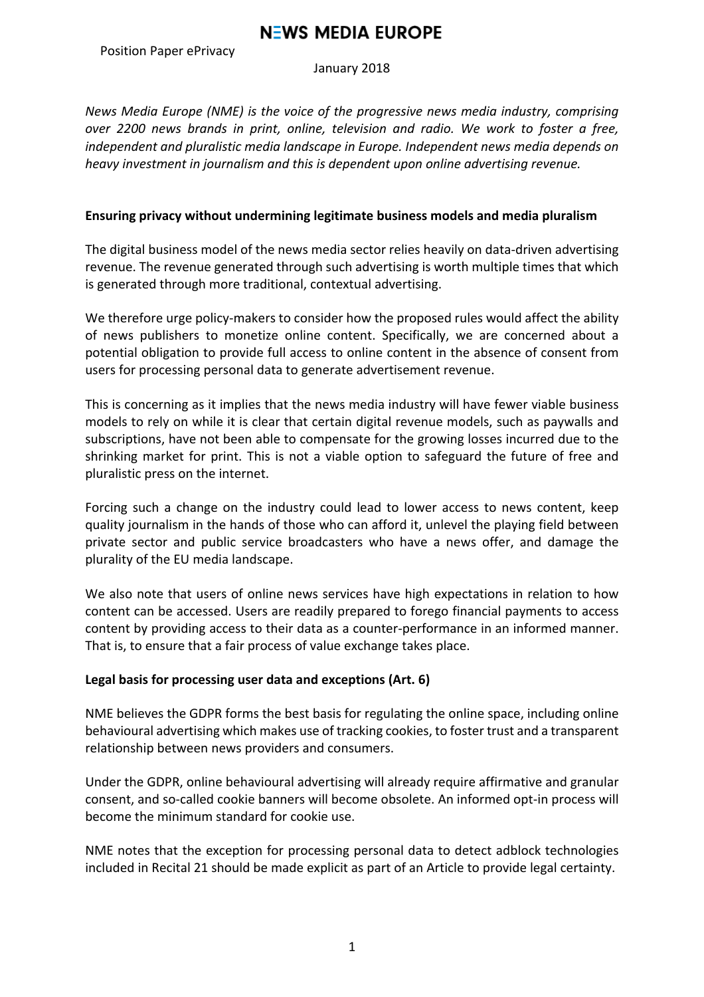# **NEWS MEDIA EUROPE**

Position Paper ePrivacy

January 2018

*News* Media Europe (NME) is the voice of the progressive news media industry, comprising *over 2200 news brands in print, online, television and radio. We work to foster a free, independent and pluralistic media landscape in Europe. Independent news media depends on heavy investment in journalism and this is dependent upon online advertising revenue.* 

### **Ensuring privacy without undermining legitimate business models and media pluralism**

The digital business model of the news media sector relies heavily on data-driven advertising revenue. The revenue generated through such advertising is worth multiple times that which is generated through more traditional, contextual advertising.

We therefore urge policy-makers to consider how the proposed rules would affect the ability of news publishers to monetize online content. Specifically, we are concerned about a potential obligation to provide full access to online content in the absence of consent from users for processing personal data to generate advertisement revenue.

This is concerning as it implies that the news media industry will have fewer viable business models to rely on while it is clear that certain digital revenue models, such as paywalls and subscriptions, have not been able to compensate for the growing losses incurred due to the shrinking market for print. This is not a viable option to safeguard the future of free and pluralistic press on the internet.

Forcing such a change on the industry could lead to lower access to news content, keep quality journalism in the hands of those who can afford it, unlevel the playing field between private sector and public service broadcasters who have a news offer, and damage the plurality of the EU media landscape.

We also note that users of online news services have high expectations in relation to how content can be accessed. Users are readily prepared to forego financial payments to access content by providing access to their data as a counter-performance in an informed manner. That is, to ensure that a fair process of value exchange takes place.

## Legal basis for processing user data and exceptions (Art. 6)

NME believes the GDPR forms the best basis for regulating the online space, including online behavioural advertising which makes use of tracking cookies, to foster trust and a transparent relationship between news providers and consumers.

Under the GDPR, online behavioural advertising will already require affirmative and granular consent, and so-called cookie banners will become obsolete. An informed opt-in process will become the minimum standard for cookie use.

NME notes that the exception for processing personal data to detect adblock technologies included in Recital 21 should be made explicit as part of an Article to provide legal certainty.